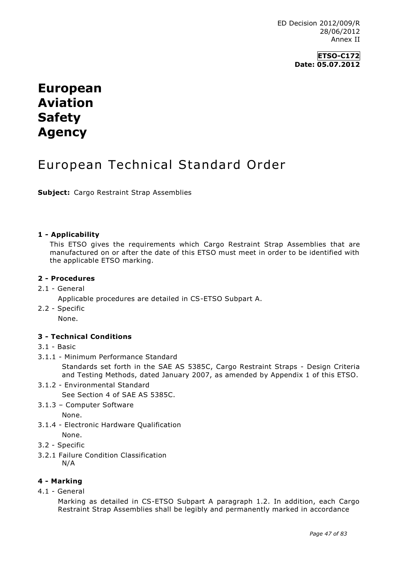## **ETSO-C172 Date: 05.07.2012**

# **European Aviation Safety Agency**

# European Technical Standard Order

**Subject:** Cargo Restraint Strap Assemblies

#### **1 - Applicability**

This ETSO gives the requirements which Cargo Restraint Strap Assemblies that are manufactured on or after the date of this ETSO must meet in order to be identified with the applicable ETSO marking.

### **2 - Procedures**

2.1 - General

Applicable procedures are detailed in CS-ETSO Subpart A.

2.2 - Specific

None.

#### **3 - Technical Conditions**

- 3.1 Basic
- 3.1.1 Minimum Performance Standard

Standards set forth in the SAE AS 5385C, Cargo Restraint Straps - Design Criteria and Testing Methods, dated January 2007, as amended by Appendix 1 of this ETSO.

- 3.1.2 Environmental Standard See Section 4 of SAE AS 5385C.
- 3.1.3 Computer Software

None.

- 3.1.4 Electronic Hardware Qualification None.
- 3.2 Specific
- 3.2.1 Failure Condition Classification N/A

# **4 - Marking**

4.1 - General

Marking as detailed in CS-ETSO Subpart A paragraph 1.2. In addition, each Cargo Restraint Strap Assemblies shall be legibly and permanently marked in accordance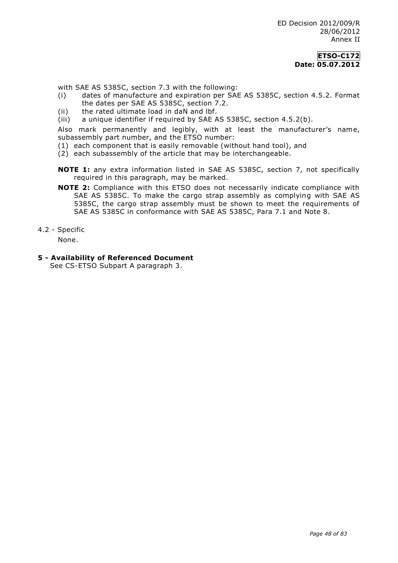#### **ETSO-C172 Date: 05.07.2012**

with SAE AS 5385C, section 7.3 with the following:

- (i) dates of manufacture and expiration per SAE AS 5385C, section 4.5.2. Format the dates per SAE AS 5385C, section 7.2.
- (ii) the rated ultimate load in daN and lbf.
- (iii) a unique identifier if required by SAE AS 5385C, section 4.5.2(b).

Also mark permanently and legibly, with at least the manufacturer's name, subassembly part number, and the ETSO number:

- (1) each component that is easily removable (without hand tool), and
- (2) each subassembly of the article that may be interchangeable.
- **NOTE 1:** any extra information listed in SAE AS 5385C, section 7, not specifically required in this paragraph, may be marked.
- **NOTE 2:** Compliance with this ETSO does not necessarily indicate compliance with SAE AS 5385C. To make the cargo strap assembly as complying with SAE AS 5385C, the cargo strap assembly must be shown to meet the requirements of SAE AS 5385C in conformance with SAE AS 5385C, Para 7.1 and Note 8.

4.2 - Specific

None.

**5 - Availability of Referenced Document**

See CS-ETSO Subpart A paragraph 3.